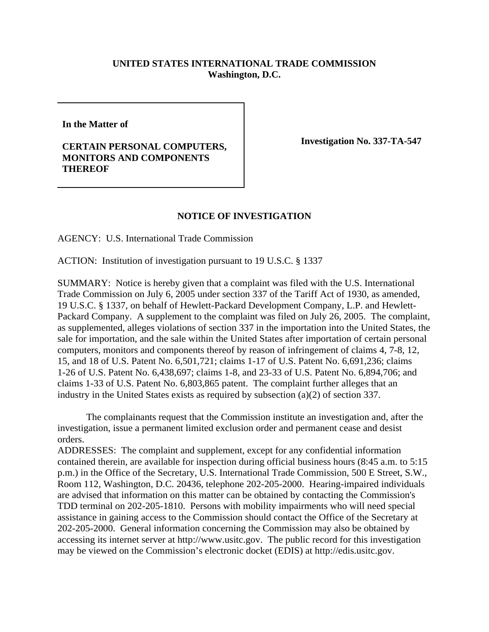## **UNITED STATES INTERNATIONAL TRADE COMMISSION Washington, D.C.**

**In the Matter of**

## **CERTAIN PERSONAL COMPUTERS, MONITORS AND COMPONENTS THEREOF**

**Investigation No. 337-TA-547** 

## **NOTICE OF INVESTIGATION**

AGENCY: U.S. International Trade Commission

ACTION: Institution of investigation pursuant to 19 U.S.C. § 1337

SUMMARY: Notice is hereby given that a complaint was filed with the U.S. International Trade Commission on July 6, 2005 under section 337 of the Tariff Act of 1930, as amended, 19 U.S.C. § 1337, on behalf of Hewlett-Packard Development Company, L.P. and Hewlett-Packard Company. A supplement to the complaint was filed on July 26, 2005. The complaint, as supplemented, alleges violations of section 337 in the importation into the United States, the sale for importation, and the sale within the United States after importation of certain personal computers, monitors and components thereof by reason of infringement of claims 4, 7-8, 12, 15, and 18 of U.S. Patent No. 6,501,721; claims 1-17 of U.S. Patent No. 6,691,236; claims 1-26 of U.S. Patent No. 6,438,697; claims 1-8, and 23-33 of U.S. Patent No. 6,894,706; and claims 1-33 of U.S. Patent No. 6,803,865 patent. The complaint further alleges that an industry in the United States exists as required by subsection (a)(2) of section 337.

The complainants request that the Commission institute an investigation and, after the investigation, issue a permanent limited exclusion order and permanent cease and desist orders.

ADDRESSES: The complaint and supplement, except for any confidential information contained therein, are available for inspection during official business hours (8:45 a.m. to 5:15 p.m.) in the Office of the Secretary, U.S. International Trade Commission, 500 E Street, S.W., Room 112, Washington, D.C. 20436, telephone 202-205-2000. Hearing-impaired individuals are advised that information on this matter can be obtained by contacting the Commission's TDD terminal on 202-205-1810. Persons with mobility impairments who will need special assistance in gaining access to the Commission should contact the Office of the Secretary at 202-205-2000. General information concerning the Commission may also be obtained by accessing its internet server at http://www.usitc.gov. The public record for this investigation may be viewed on the Commission's electronic docket (EDIS) at http://edis.usitc.gov.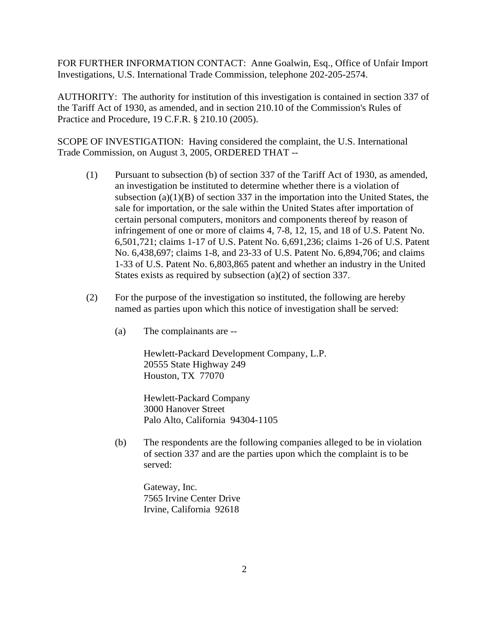FOR FURTHER INFORMATION CONTACT: Anne Goalwin, Esq., Office of Unfair Import Investigations, U.S. International Trade Commission, telephone 202-205-2574.

AUTHORITY: The authority for institution of this investigation is contained in section 337 of the Tariff Act of 1930, as amended, and in section 210.10 of the Commission's Rules of Practice and Procedure, 19 C.F.R. § 210.10 (2005).

SCOPE OF INVESTIGATION: Having considered the complaint, the U.S. International Trade Commission, on August 3, 2005, ORDERED THAT --

- (1) Pursuant to subsection (b) of section 337 of the Tariff Act of 1930, as amended, an investigation be instituted to determine whether there is a violation of subsection  $(a)(1)(B)$  of section 337 in the importation into the United States, the sale for importation, or the sale within the United States after importation of certain personal computers, monitors and components thereof by reason of infringement of one or more of claims 4, 7-8, 12, 15, and 18 of U.S. Patent No. 6,501,721; claims 1-17 of U.S. Patent No. 6,691,236; claims 1-26 of U.S. Patent No. 6,438,697; claims 1-8, and 23-33 of U.S. Patent No. 6,894,706; and claims 1-33 of U.S. Patent No. 6,803,865 patent and whether an industry in the United States exists as required by subsection (a)(2) of section 337.
- (2) For the purpose of the investigation so instituted, the following are hereby named as parties upon which this notice of investigation shall be served:
	- (a) The complainants are --

Hewlett-Packard Development Company, L.P. 20555 State Highway 249 Houston, TX 77070

Hewlett-Packard Company 3000 Hanover Street Palo Alto, California 94304-1105

(b) The respondents are the following companies alleged to be in violation of section 337 and are the parties upon which the complaint is to be served:

Gateway, Inc. 7565 Irvine Center Drive Irvine, California 92618